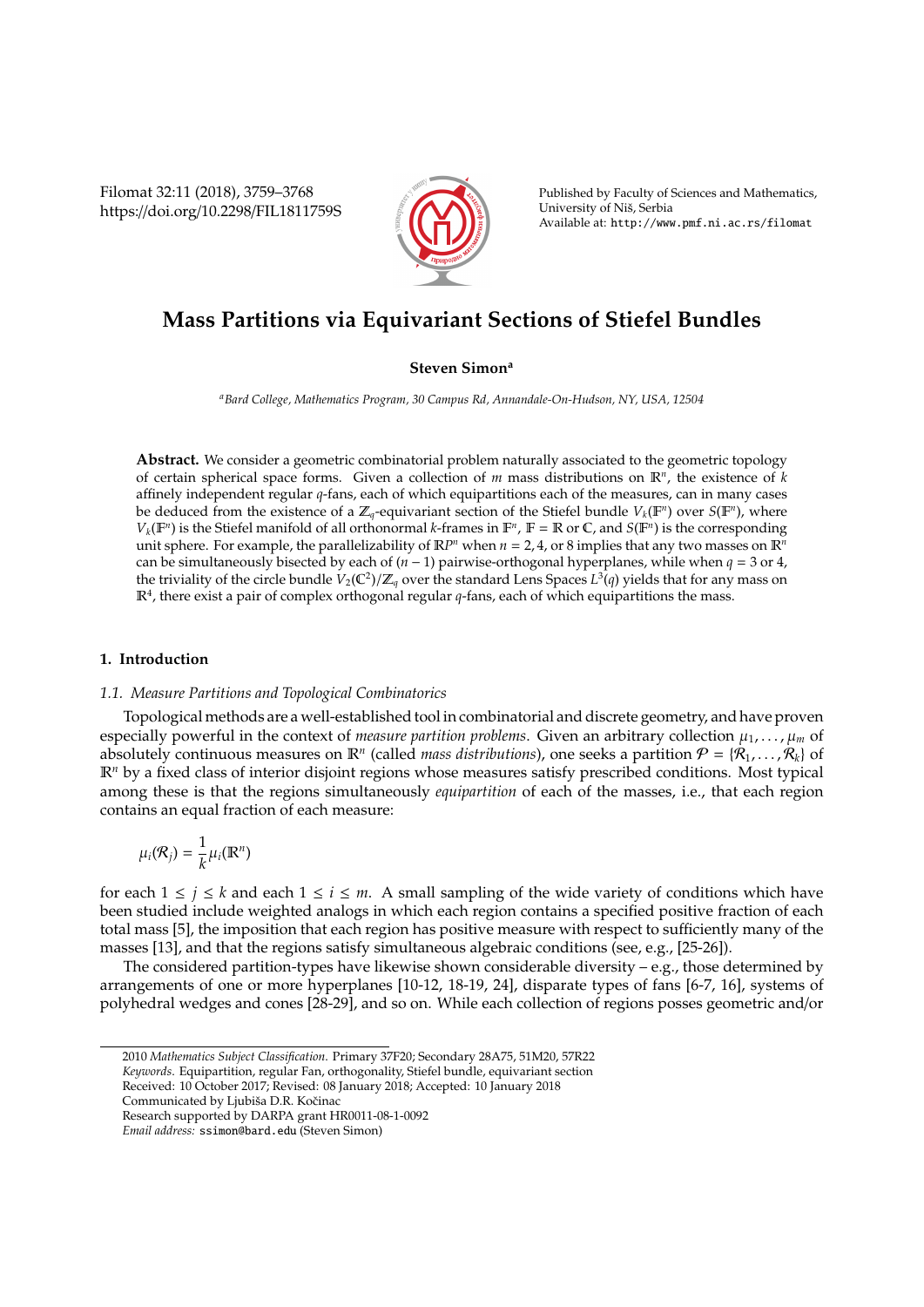Filomat 32:11 (2018), 3759–3768 https://doi.org/10.2298/FIL1811759S



Published by Faculty of Sciences and Mathematics, University of Niš, Serbia Available at: http://www.pmf.ni.ac.rs/filomat

# **Mass Partitions via Equivariant Sections of Stiefel Bundles**

# **Steven Simon<sup>a</sup>**

*<sup>a</sup>Bard College, Mathematics Program, 30 Campus Rd, Annandale-On-Hudson, NY, USA, 12504*

**Abstract.** We consider a geometric combinatorial problem naturally associated to the geometric topology of certain spherical space forms. Given a collection of *m* mass distributions on R*<sup>n</sup>* , the existence of *k* affinely independent regular *q*-fans, each of which equipartitions each of the measures, can in many cases be deduced from the existence of a  $\mathbb{Z}_q$ -equivariant section of the Stiefel bundle  $V_k(\mathbb{F}^n)$  over  $S(\mathbb{F}^n)$ , where  $V_k(\mathbb{F}^n)$  is the Stiefel manifold of all orthonormal *k*-frames in  $\mathbb{F}^n$ ,  $\mathbb{F} = \mathbb{R}$  or  $\mathbb{C}$ , and  $S(\mathbb{F}^n)$  is the corresponding unit sphere. For example, the parallelizability of  $\mathbb{R}^{p}$  when  $n = 2, 4$ , or 8 implies that any two masses on  $\mathbb{R}^n$ can be simultaneously bisected by each of (*n* − 1) pairwise-orthogonal hyperplanes, while when *q* = 3 or 4, the triviality of the circle bundle  $V_2({\Bbb C}^2)/{\Bbb Z}_q$  over the standard Lens Spaces  $L^3(q)$  yields that for any mass on  $\mathbb{R}^4$ , there exist a pair of complex orthogonal regular  $q$ -fans, each of which equipartitions the mass.

# **1. Introduction**

#### *1.1. Measure Partitions and Topological Combinatorics*

Topological methods are a well-established tool in combinatorial and discrete geometry, and have proven especially powerful in the context of *measure partition problems*. Given an arbitrary collection  $\mu_1, \ldots, \mu_m$  of absolutely continuous measures on  $\mathbb{R}^n$  (called *mass distributions*), one seeks a partition  $\mathcal{P} = \{\mathcal{R}_1, \ldots, \mathcal{R}_k\}$  of R*<sup>n</sup>* by a fixed class of interior disjoint regions whose measures satisfy prescribed conditions. Most typical among these is that the regions simultaneously *equipartition* of each of the masses, i.e., that each region contains an equal fraction of each measure:

$$
\mu_i(\mathcal{R}_j) = \frac{1}{k} \mu_i(\mathbb{R}^n)
$$

for each  $1 \le j \le k$  and each  $1 \le i \le m$ . A small sampling of the wide variety of conditions which have been studied include weighted analogs in which each region contains a specified positive fraction of each total mass [5], the imposition that each region has positive measure with respect to sufficiently many of the masses [13], and that the regions satisfy simultaneous algebraic conditions (see, e.g., [25-26]).

The considered partition-types have likewise shown considerable diversity – e.g., those determined by arrangements of one or more hyperplanes [10-12, 18-19, 24], disparate types of fans [6-7, 16], systems of polyhedral wedges and cones [28-29], and so on. While each collection of regions posses geometric and/or

<sup>2010</sup> *Mathematics Subject Classification*. Primary 37F20; Secondary 28A75, 51M20, 57R22

*Keywords*. Equipartition, regular Fan, orthogonality, Stiefel bundle, equivariant section

Received: 10 October 2017; Revised: 08 January 2018; Accepted: 10 January 2018

Communicated by Ljubiša D.R. Kočinac

Research supported by DARPA grant HR0011-08-1-0092

*Email address:* ssimon@bard.edu (Steven Simon)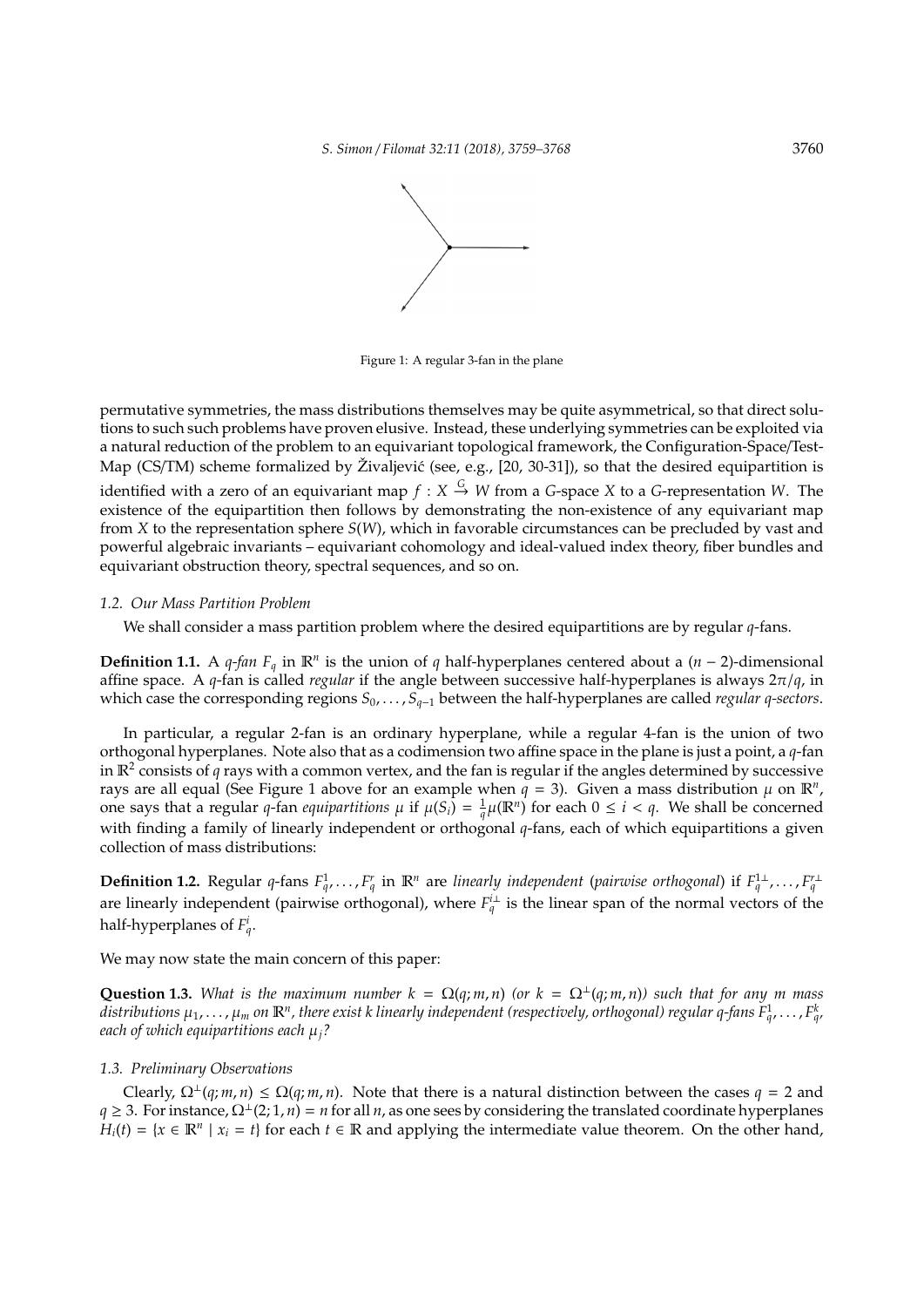

Figure 1: A regular 3-fan in the plane

permutative symmetries, the mass distributions themselves may be quite asymmetrical, so that direct solutions to such such problems have proven elusive. Instead, these underlying symmetries can be exploited via a natural reduction of the problem to an equivariant topological framework, the Configuration-Space/Test-Map (CS/TM) scheme formalized by Živaljević (see, e.g.,  $[20, 30-31]$ ), so that the desired equipartition is identified with a zero of an equivariant map  $f: X \stackrel{G}{\rightarrow} W$  from a *G*-space *X* to a *G*-representation *W*. The existence of the equipartition then follows by demonstrating the non-existence of any equivariant map from *X* to the representation sphere *S*(*W*), which in favorable circumstances can be precluded by vast and powerful algebraic invariants – equivariant cohomology and ideal-valued index theory, fiber bundles and equivariant obstruction theory, spectral sequences, and so on.

# *1.2. Our Mass Partition Problem*

We shall consider a mass partition problem where the desired equipartitions are by regular *q*-fans.

**Definition 1.1.** A *q-fan*  $F_q$  in  $\mathbb{R}^n$  is the union of *q* half-hyperplanes centered about a (*n* − 2)-dimensional affine space. A *q*-fan is called *regular* if the angle between successive half-hyperplanes is always 2π/*q*, in which case the corresponding regions *S*0, . . . , *Sq*−<sup>1</sup> between the half-hyperplanes are called *regular q-sectors*.

In particular, a regular 2-fan is an ordinary hyperplane, while a regular 4-fan is the union of two orthogonal hyperplanes. Note also that as a codimension two affine space in the plane is just a point, a *q*-fan in R<sup>2</sup> consists of *q* rays with a common vertex, and the fan is regular if the angles determined by successive rays are all equal (See Figure 1 above for an example when  $q = 3$ ). Given a mass distribution  $\mu$  on  $\mathbb{R}^n$ , one says that a regular *q*-fan *equipartitions*  $\mu$  if  $\mu(S_i) = \frac{1}{q}\mu(\mathbb{R}^n)$  for each  $0 \le i < q$ . We shall be concerned with finding a family of linearly independent or orthogonal *q*-fans, each of which equipartitions a given collection of mass distributions:

**Definition 1.2.** Regular q-fans  $F_q^1, \ldots, F_q^r$  in  $\mathbb{R}^n$  are linearly independent (pairwise orthogonal) if  $F_q^1, \ldots, F_q^r$ are linearly independent (pairwise orthogonal), where  $F_q^{\perp}$  is the linear span of the normal vectors of the half-hyperplanes of  $F_q^i$ .

We may now state the main concern of this paper:

**Question 1.3.** *What is the maximum number*  $k = \Omega(q; m, n)$  *(or*  $k = \Omega^{\perp}(q; m, n)$  *such that for any m mass* distributions  $\mu_1,\dots,\mu_m$  on  $\mathbb R^n$ , there exist k linearly independent (respectively, orthogonal) regular q-fans  $F^1_q,\dots,F^k_{q'}$ *each of which equipartitions each* µ*j?*

# *1.3. Preliminary Observations*

Clearly,  $\Omega^{\perp}(q; m, n) \leq \Omega(q; m, n)$ . Note that there is a natural distinction between the cases  $q = 2$  and  $q \geq 3$ . For instance,  $\Omega^{\perp}(2;1,n) = n$  for all *n*, as one sees by considering the translated coordinate hyperplanes  $H_i(t) = \{x \in \mathbb{R}^n \mid x_i = t\}$  for each  $t \in \mathbb{R}$  and applying the intermediate value theorem. On the other hand,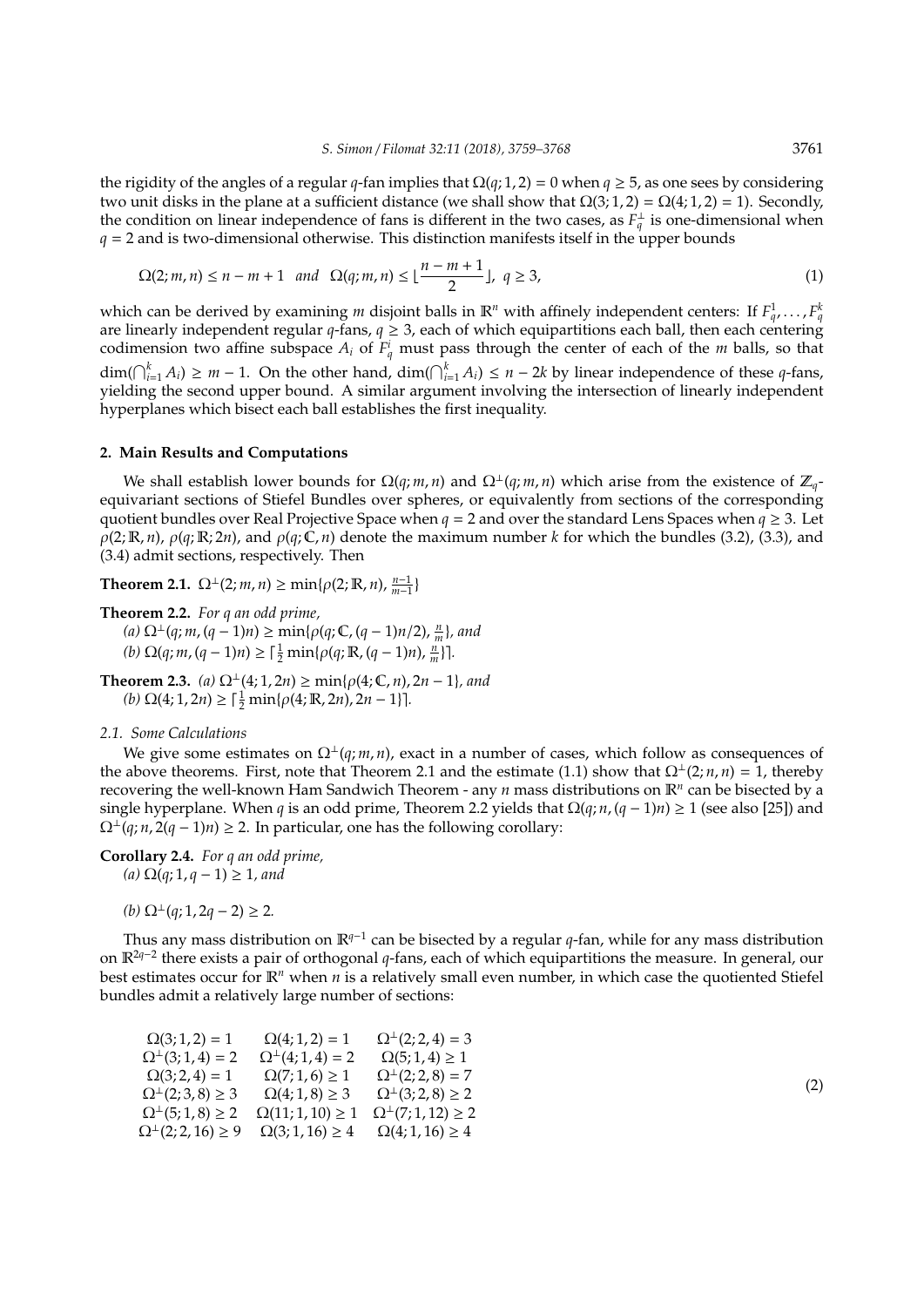the rigidity of the angles of a regular *q*-fan implies that  $\Omega(q; 1, 2) = 0$  when  $q \ge 5$ , as one sees by considering two unit disks in the plane at a sufficient distance (we shall show that  $\Omega(3; 1, 2) = \Omega(4; 1, 2) = 1$ ). Secondly, the condition on linear independence of fans is different in the two cases, as  $F_q^{\perp}$  is one-dimensional when  $q = 2$  and is two-dimensional otherwise. This distinction manifests itself in the upper bounds

$$
\Omega(2; m, n) \le n - m + 1 \text{ and } \Omega(q; m, n) \le \lfloor \frac{n - m + 1}{2} \rfloor, q \ge 3,
$$
 (1)

which can be derived by examining *m* disjoint balls in  $\mathbb{R}^n$  with affinely independent centers: If  $F_q^1, \ldots, F_q^k$ are linearly independent regular *q*-fans, *q* ≥ 3, each of which equipartitions each ball, then each centering codimension two affine subspace  $A_i$  of  $F_q^i$  must pass through the center of each of the *m* balls, so that  $\dim(\bigcap_{i=1}^{k} A_i) \geq m - 1$ . On the other hand,  $\dim(\bigcap_{i=1}^{k} A_i) \leq n - 2k$  by linear independence of these *q*-fans, yielding the second upper bound. A similar argument involving the intersection of linearly independent hyperplanes which bisect each ball establishes the first inequality.

## **2. Main Results and Computations**

We shall establish lower bounds for  $\Omega(q; m, n)$  and  $\Omega^{\perp}(q; m, n)$  which arise from the existence of  $\mathbb{Z}_q$ equivariant sections of Stiefel Bundles over spheres, or equivalently from sections of the corresponding quotient bundles over Real Projective Space when  $q = 2$  and over the standard Lens Spaces when  $q \ge 3$ . Let  $\rho(2; \mathbb{R}, n)$ ,  $\rho(q; \mathbb{R}; 2n)$ , and  $\rho(q; \mathbb{C}, n)$  denote the maximum number *k* for which the bundles (3.2), (3.3), and (3.4) admit sections, respectively. Then

**Theorem 2.1.**  $\Omega^{\perp}(2; m, n) \ge \min\{\rho(2; \mathbb{R}, n), \frac{n-1}{m-1}\}$ 

**Theorem 2.2.** *For q an odd prime,*  $(a)$  Ω<sup>⊥</sup>(*q*; *m*, (*q* − 1)*n*) ≥ min{ $ρ$ (*q*; **C**, (*q* − 1)*n*/2),  $\frac{n}{m}$ }*, and* 

 $(h) \Omega(q; m, (q-1)n) \geq \lceil \frac{1}{2} \min\{ \rho(q; \mathbb{R}, (q-1)n), \frac{n}{m} \} \rceil.$ 

**Theorem 2.3.** *(a)*  $\Omega$ <sup>⊥</sup>(4*;* 1*,* 2*n*) ≥ min{ $\rho$ (4*;* €*, n*)*,* 2*n* − 1}*, and*  $(b)$   $\Omega(4; 1, 2n) \geq \lceil \frac{1}{2} \min\{\rho(4; \mathbb{R}, 2n), 2n - 1\} \rceil.$ 

#### *2.1. Some Calculations*

We give some estimates on  $\Omega^{\perp}(q;m,n)$ , exact in a number of cases, which follow as consequences of the above theorems. First, note that Theorem 2.1 and the estimate (1.1) show that  $\Omega^{\perp}(2; n, n) = 1$ , thereby recovering the well-known Ham Sandwich Theorem - any *n* mass distributions on  $\mathbb{R}^n$  can be bisected by a single hyperplane. When *q* is an odd prime, Theorem 2.2 yields that  $\Omega(q; n, (q-1)n) \ge 1$  (see also [25]) and  $\Omega^{\perp}(q; n, 2(q-1)n) \geq 2$ . In particular, one has the following corollary:

**Corollary 2.4.** *For q an odd prime, (a)* Ω(*q*; 1, *q* − 1) ≥ 1*, and*

 $(b)$  Ω<sup>⊥</sup> $(q; 1, 2q - 2) \ge 2$ .

Thus any mass distribution on R*q*−<sup>1</sup> can be bisected by a regular *q*-fan, while for any mass distribution on R2*q*−<sup>2</sup> there exists a pair of orthogonal *q*-fans, each of which equipartitions the measure. In general, our best estimates occur for R*<sup>n</sup>* when *n* is a relatively small even number, in which case the quotiented Stiefel bundles admit a relatively large number of sections:

| $\Omega(3;1,2) = 1$              | $\Omega(4;1,2) = 1$         | $\Omega^{\perp}(2;2,4) = 3$                               |
|----------------------------------|-----------------------------|-----------------------------------------------------------|
| $\Omega^{\perp}(3;1,4) = 2$      | $\Omega^{\perp}(4;1,4) = 2$ | $\Omega(5; 1, 4) \geq 1$                                  |
| $\Omega(3; 2, 4) = 1$            | $\Omega(7; 1, 6) \geq 1$    | $\Omega^{\perp}(2; 2, 8) = 7$                             |
| $\Omega^{\perp}(2;3,8) \geq 3$   | $\Omega(4; 1, 8) \ge 3$     | $\Omega$ <sup><math>\perp</math></sup> (3; 2, 8) $\geq$ 2 |
| $\Omega^{\perp}(5;1,8) \geq 2$   | $\Omega(11; 1, 10) \geq 1$  | $\Omega^{\perp}(7;1,12) \geq 2$                           |
| $\Omega^{\perp}(2; 2, 16) \ge 9$ | $\Omega(3; 1, 16) \geq 4$   | $\Omega(4; 1, 16) \geq 4$                                 |
|                                  |                             |                                                           |

(2)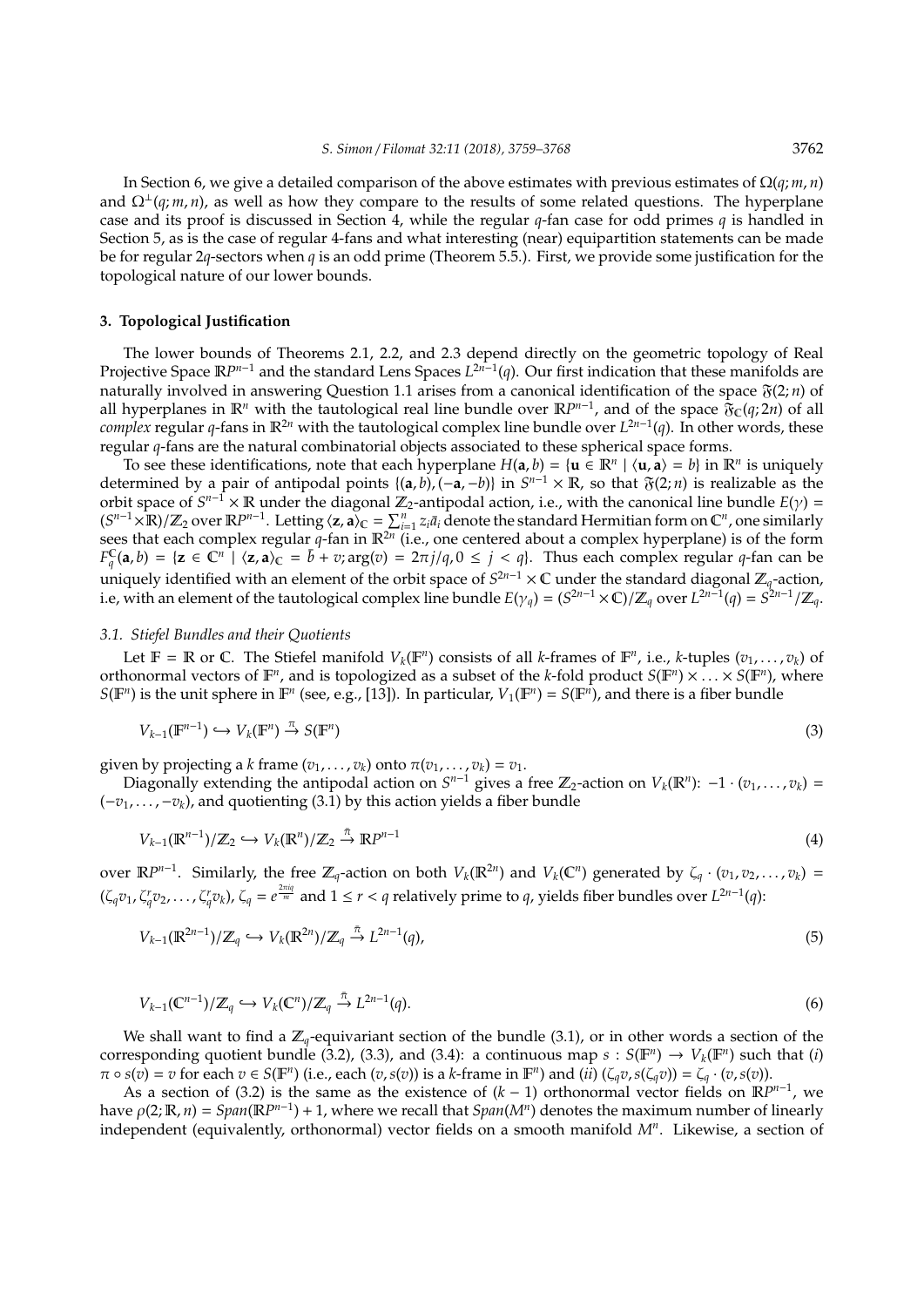In Section 6, we give a detailed comparison of the above estimates with previous estimates of Ω(*q*; *m*, *n*) and  $\Omega^{\perp}(q;m,n)$ , as well as how they compare to the results of some related questions. The hyperplane case and its proof is discussed in Section 4, while the regular *q*-fan case for odd primes *q* is handled in Section 5, as is the case of regular 4-fans and what interesting (near) equipartition statements can be made be for regular 2*q*-sectors when *q* is an odd prime (Theorem 5.5.). First, we provide some justification for the topological nature of our lower bounds.

## **3. Topological Justification**

The lower bounds of Theorems 2.1, 2.2, and 2.3 depend directly on the geometric topology of Real Projective Space  $\mathbb{R}^{p n - 1}$  and the standard Lens Spaces *L*<sup>2n−1</sup>(q). Our first indication that these manifolds are naturally involved in answering Question 1.1 arises from a canonical identification of the space  $\mathfrak{F}(2; n)$  of all hyperplanes in  $\mathbb{R}^n$  with the tautological real line bundle over  $\mathbb{R}P^{n-1}$ , and of the space  $\mathfrak{F}_C(q;2n)$  of all *complex* regular *q*-fans in R2*<sup>n</sup>* with the tautological complex line bundle over *L* 2*n*−1 (*q*). In other words, these regular *q*-fans are the natural combinatorial objects associated to these spherical space forms.

To see these identifications, note that each hyperplane  $H(a, b) = {u \in \mathbb{R}^n \mid \langle u, a \rangle = b}$  in  $\mathbb{R}^n$  is uniquely determined by a pair of antipodal points  $\{(a, b), (-a, -b)\}\$ in  $S^{n-1} \times \mathbb{R}$ , so that  $\mathfrak{F}(2; n)$  is realizable as the orbit space of  $S^{n-1} \times \mathbb{R}$  under the diagonal  $\mathbb{Z}_2$ -antipodal action, i.e., with the canonical line bundle  $E(\gamma)$  =  $(S^{n-1} \times \mathbb{R})/\mathbb{Z}_2$  over  $\mathbb{R}P^{n-1}$ . Letting  $\langle z, a \rangle_C = \sum_{i=1}^n z_i \bar{a}_i$  denote the standard Hermitian form on  $\mathbb{C}^n$ , one similarly sees that each complex regular q-fan in  $\mathbb{R}^{2n}$  (i.e., one centered about a complex hyperplane) is of the form  $F_q^C(\mathbf{a}, b) = {\mathbf{z} \in \mathbb{C}^n \mid \langle \mathbf{z}, \mathbf{a} \rangle_{\mathbb{C}} = \bar{b} + v; \arg(v) = 2\pi j/q, 0 \leq j < q}$ . Thus each complex regular *q*-fan can be uniquely identified with an element of the orbit space of *S* <sup>2</sup>*n*−<sup>1</sup> × C under the standard diagonal Z*q*-action, i.e, with an element of the tautological complex line bundle  $E(\gamma_q) = (S^{2n-1} \times \mathbb{C})/\mathbb{Z}_q$  over  $L^{2n-1}(q) = S^{2n-1}/\mathbb{Z}_q$ .

# *3.1. Stiefel Bundles and their Quotients*

Let  $\mathbb{F} = \mathbb{R}$  or  $\mathbb{C}$ . The Stiefel manifold  $V_k(\mathbb{F}^n)$  consists of all *k*-frames of  $\mathbb{F}^n$ , i.e., *k*-tuples  $(v_1, \ldots, v_k)$  of orthonormal vectors of  $\mathbb{F}^n$ , and is topologized as a subset of the *k*-fold product  $S(\mathbb{F}^n) \times \ldots \times S(\mathbb{F}^n)$ , where  $S(\mathbb{F}^n)$  is the unit sphere in  $\mathbb{F}^n$  (see, e.g., [13]). In particular,  $V_1(\mathbb{F}^n) = S(\mathbb{F}^n)$ , and there is a fiber bundle

$$
V_{k-1}(\mathbb{F}^{n-1}) \hookrightarrow V_k(\mathbb{F}^n) \stackrel{\pi}{\to} S(\mathbb{F}^n)
$$
\n(3)

given by projecting a *k* frame  $(v_1, \ldots, v_k)$  onto  $\pi(v_1, \ldots, v_k) = v_1$ .

Diagonally extending the antipodal action on  $S^{n-1}$  gives a free  $\mathbb{Z}_2$ -action on  $V_k(\mathbb{R}^n)$ :  $-1 \cdot (v_1, \ldots, v_k)$  = (−*v*1, . . . ,−*vk*), and quotienting (3.1) by this action yields a fiber bundle

$$
V_{k-1}(\mathbb{R}^{n-1})/\mathbb{Z}_2 \hookrightarrow V_k(\mathbb{R}^n)/\mathbb{Z}_2 \stackrel{\bar{\pi}}{\to} \mathbb{R}P^{n-1}
$$
\n
$$
\tag{4}
$$

over  $\mathbb{R}P^{n-1}$ . Similarly, the free  $\mathbb{Z}_q$ -action on both  $V_k(\mathbb{R}^{2n})$  and  $V_k(\mathbb{C}^n)$  generated by  $\zeta_q \cdot (v_1, v_2, \ldots, v_k) =$  $(\zeta_qv_1,\zeta_qv_2,\ldots,\zeta_qv_k)$ ,  $\zeta_q=e^{\frac{2\pi iq}{m}}$  and  $1\leq r< q$  relatively prime to q, yields fiber bundles over  $L^{2n-1}(q)$ :

$$
V_{k-1}(\mathbb{R}^{2n-1})/\mathbb{Z}_q \hookrightarrow V_k(\mathbb{R}^{2n})/\mathbb{Z}_q \stackrel{\bar{\pi}}{\to} L^{2n-1}(q),\tag{5}
$$

$$
V_{k-1}(\mathbb{C}^{n-1})/\mathbb{Z}_q \hookrightarrow V_k(\mathbb{C}^n)/\mathbb{Z}_q \stackrel{\bar{\pi}}{\to} L^{2n-1}(q).
$$
\n
$$
(6)
$$

We shall want to find a  $\mathbb{Z}_q$ -equivariant section of the bundle (3.1), or in other words a section of the corresponding quotient bundle (3.2), (3.3), and (3.4): a continuous map  $s: S(\mathbb{F}^n) \to V_k(\mathbb{F}^n)$  such that (*i*)  $\pi \circ s(v) = v$  for each  $v \in S(\mathbb{F}^n)$  (i.e., each  $(v, s(v))$  is a k-frame in  $\mathbb{F}^n$ ) and  $(ii)$   $(\zeta_q v, s(\zeta_q v)) = \zeta_q \cdot (v, s(v))$ .

As a section of (3.2) is the same as the existence of  $(k - 1)$  orthonormal vector fields on  $\mathbb{R}P^{n-1}$ , we have  $\rho(2; \mathbb{R}, n) = Span(\mathbb{R}P^{n-1}) + 1$ , where we recall that  $Span(M^n)$  denotes the maximum number of linearly independent (equivalently, orthonormal) vector fields on a smooth manifold *M<sup>n</sup>* . Likewise, a section of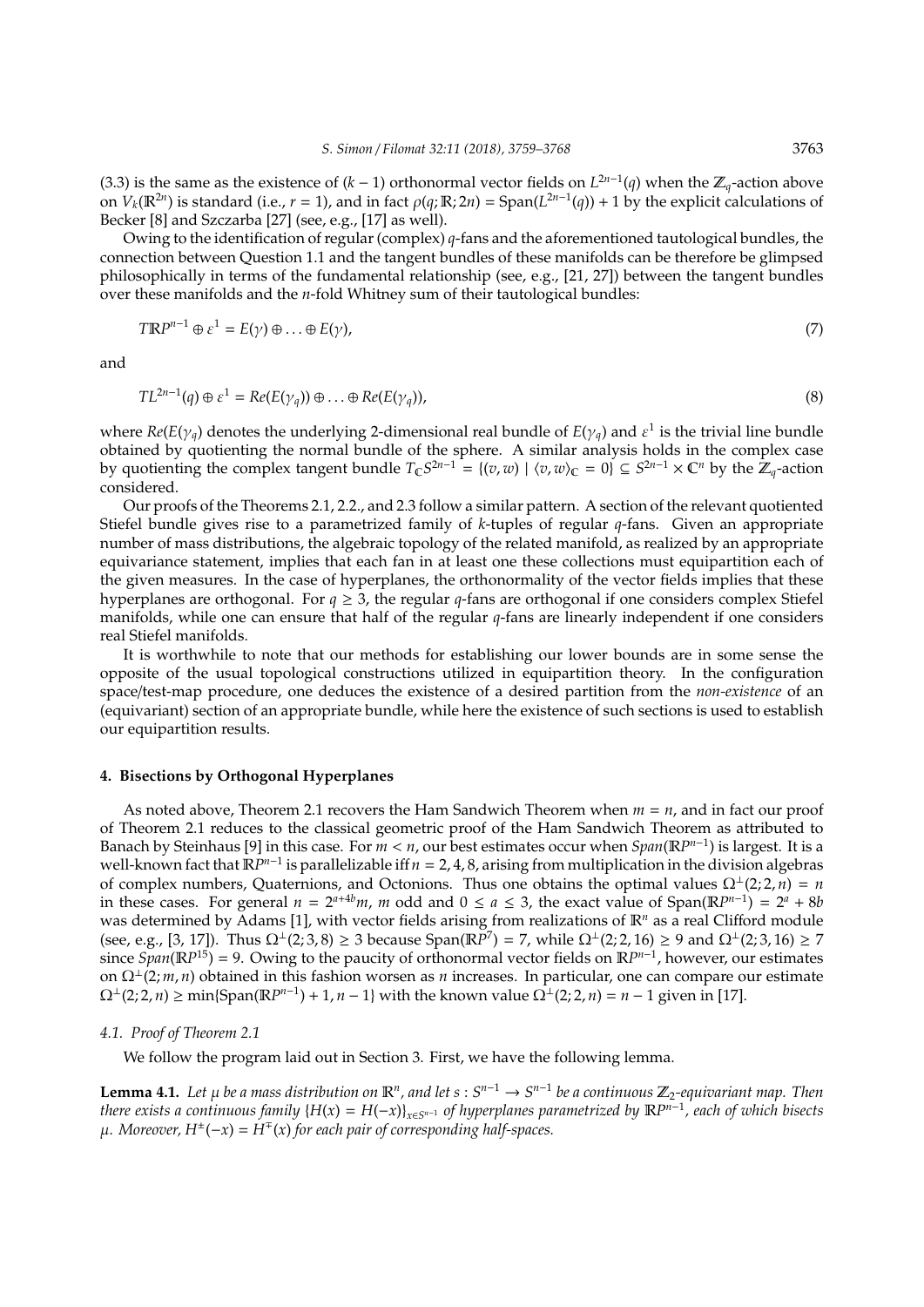(3.3) is the same as the existence of  $(k - 1)$  orthonormal vector fields on  $L^{2n-1}(q)$  when the  $\mathbb{Z}_q$ -action above on  $V_k(\mathbb{R}^{2n})$  is standard (i.e.,  $r = 1$ ), and in fact  $\rho(q;\mathbb{R};2n) = \text{Span}(L^{2n-1}(q)) + 1$  by the explicit calculations of Becker [8] and Szczarba [27] (see, e.g., [17] as well).

Owing to the identification of regular (complex) *q*-fans and the aforementioned tautological bundles, the connection between Question 1.1 and the tangent bundles of these manifolds can be therefore be glimpsed philosophically in terms of the fundamental relationship (see, e.g., [21, 27]) between the tangent bundles over these manifolds and the *n*-fold Whitney sum of their tautological bundles:

$$
TRP^{n-1} \oplus \varepsilon^1 = E(\gamma) \oplus \ldots \oplus E(\gamma), \tag{7}
$$

and

$$
TL^{2n-1}(q) \oplus \varepsilon^1 = Re(E(\gamma_q)) \oplus \ldots \oplus Re(E(\gamma_q)),
$$
\n(8)

where  $Re(E(\gamma_q)$  denotes the underlying 2-dimensional real bundle of  $E(\gamma_q)$  and  $\varepsilon^1$  is the trivial line bundle obtained by quotienting the normal bundle of the sphere. A similar analysis holds in the complex case by quotienting the complex tangent bundle  $T_{\mathbb{C}}S^{2n-1} = \{(v,w) \mid \langle v,w\rangle_{\mathbb{C}} = 0\} \subseteq S^{2n-1} \times \mathbb{C}^n$  by the  $\mathbb{Z}_q$ -action considered.

Our proofs of the Theorems 2.1, 2.2., and 2.3 follow a similar pattern. A section of the relevant quotiented Stiefel bundle gives rise to a parametrized family of *k*-tuples of regular *q*-fans. Given an appropriate number of mass distributions, the algebraic topology of the related manifold, as realized by an appropriate equivariance statement, implies that each fan in at least one these collections must equipartition each of the given measures. In the case of hyperplanes, the orthonormality of the vector fields implies that these hyperplanes are orthogonal. For *q* ≥ 3, the regular *q*-fans are orthogonal if one considers complex Stiefel manifolds, while one can ensure that half of the regular *q*-fans are linearly independent if one considers real Stiefel manifolds.

It is worthwhile to note that our methods for establishing our lower bounds are in some sense the opposite of the usual topological constructions utilized in equipartition theory. In the configuration space/test-map procedure, one deduces the existence of a desired partition from the *non-existence* of an (equivariant) section of an appropriate bundle, while here the existence of such sections is used to establish our equipartition results.

# **4. Bisections by Orthogonal Hyperplanes**

As noted above, Theorem 2.1 recovers the Ham Sandwich Theorem when *m* = *n*, and in fact our proof of Theorem 2.1 reduces to the classical geometric proof of the Ham Sandwich Theorem as attributed to Banach by Steinhaus [9] in this case. For *m* < *n*, our best estimates occur when *Span*(R*P n*−1 ) is largest. It is a well-known fact that  $\mathbb{R}P^{n-1}$  is parallelizable iff *n* = 2, 4, 8, arising from multiplication in the division algebras of complex numbers, Quaternions, and Octonions. Thus one obtains the optimal values  $\Omega^{\perp}(2; 2, n) = n$ in these cases. For general  $n = 2^{a+4b}m$ , m odd and  $0 \le a \le 3$ , the exact value of Span( $\mathbb{R}P^{n-1}$ ) =  $2^a + 8b$ was determined by Adams [1], with vector fields arising from realizations of  $\mathbb{R}^n$  as a real Clifford module (see, e.g., [3, 17]). Thus  $\Omega^{\perp}(2,3,8) \ge 3$  because Span( $\mathbb{R}^{p}$ <sup>7</sup>) = 7, while  $\Omega^{\perp}(2,2,16) \ge 9$  and  $\Omega^{\perp}(2,3,16) \ge 7$ since  $Span(\mathbb{R}P^{15}) = 9$ . Owing to the paucity of orthonormal vector fields on  $\mathbb{R}P^{n-1}$ , however, our estimates on Ω<sup>⊥</sup>(2; *m*, *n*) obtained in this fashion worsen as *n* increases. In particular, one can compare our estimate  $\Omega^{\perp}(2; 2, n) \ge \min\{\text{Span}(\mathbb{R}P^{n-1}) + 1, n-1\}$  with the known value  $\Omega^{\perp}(2; 2, n) = n - 1$  given in [17].

# *4.1. Proof of Theorem 2.1*

We follow the program laid out in Section 3. First, we have the following lemma.

**Lemma 4.1.** Let  $\mu$  be a mass distribution on  $\mathbb{R}^n$ , and let  $s: S^{n-1} \to S^{n-1}$  be a continuous  $\mathbb{Z}_2$ -equivariant map. Then *there exists a continuous family* {*H*(*x*) = *H*(−*x*)}*x*∈*<sup>S</sup> <sup>n</sup>*−<sup>1</sup> *of hyperplanes parametrized by* R*P n*−1 *, each of which bisects*  $\mu$ . Moreover,  $H^{\pm}(-x) = H^{\mp}(x)$  for each pair of corresponding half-spaces.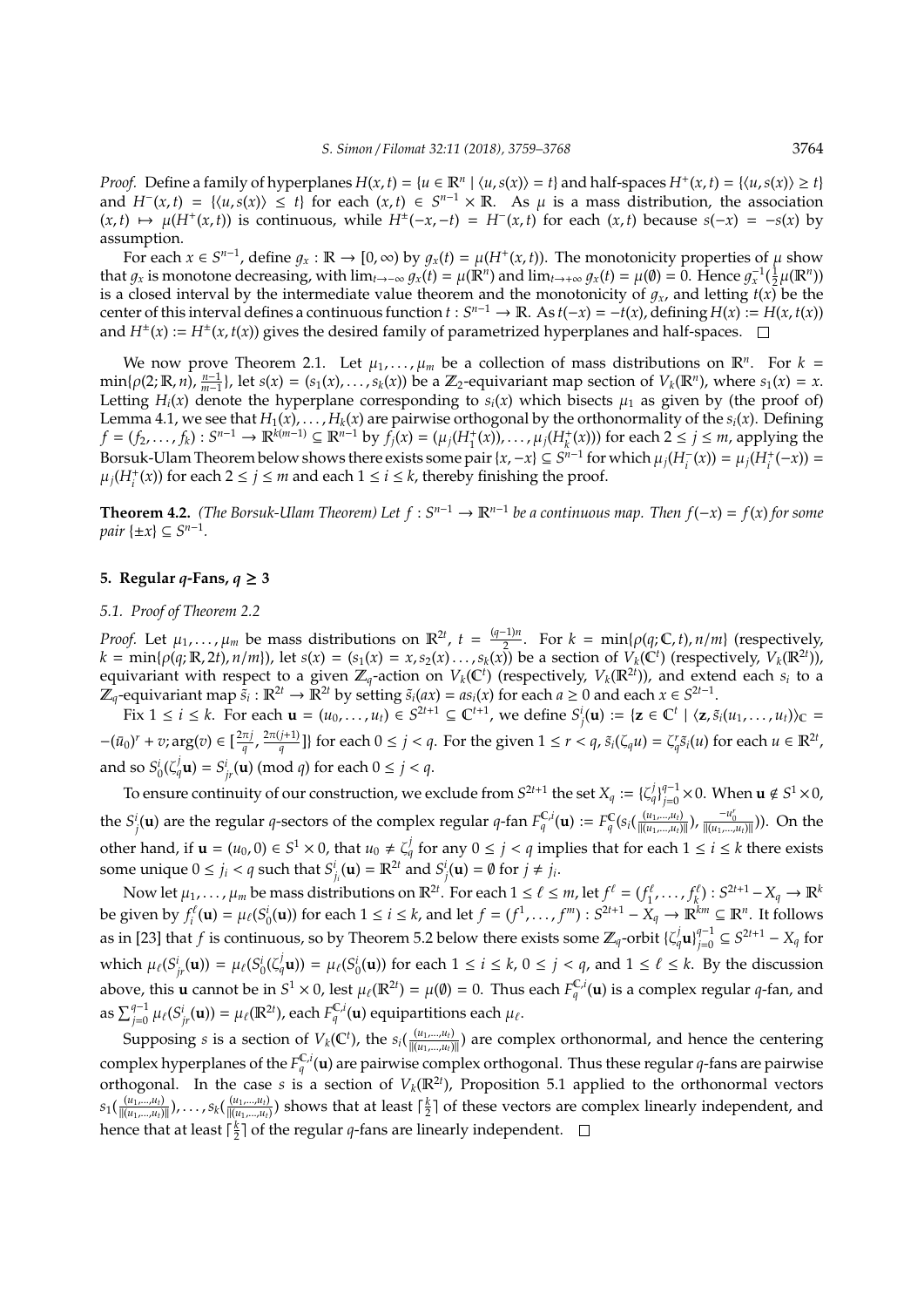*Proof.* Define a family of hyperplanes  $H(x, t) = \{u \in \mathbb{R}^n \mid \langle u, s(x) \rangle = t\}$  and half-spaces  $H^+(x, t) = \{\langle u, s(x) \rangle \ge t\}$ and  $H^{-}(x,t) = \{(u,s(x)) \le t\}$  for each  $(x,t) \in S^{n-1} \times \mathbb{R}$ . As  $\mu$  is a mass distribution, the association  $(x,t) \mapsto \mu(H^+(x,t))$  is continuous, while  $H^{\pm}(-x,-t) = H^-(x,t)$  for each  $(x,t)$  because  $s(-x) = -s(x)$  by assumption.

For each  $x \in S^{n-1}$ , define  $g_x : \mathbb{R} \to [0, \infty)$  by  $g_x(t) = \mu(H^+(x, t))$ . The monotonicity properties of  $\mu$  show that  $g_x$  is monotone decreasing, with  $\lim_{t\to-\infty} g_x(t) = \mu(\mathbb{R}^n)$  and  $\lim_{t\to+\infty} g_x(t) = \mu(\emptyset) = 0$ . Hence  $g_x^{-1}(\frac{1}{2}\mu(\mathbb{R}^n))$ is a closed interval by the intermediate value theorem and the monotonicity of  $g_x$ , and letting  $t(x)$  be the center of this interval defines a continuous function  $t: S^{n-1} \to \mathbb{R}$ . As  $t(-x) = -t(x)$ , defining  $H(x) := H(x, t(x))$ and  $H^{\pm}(x) := H^{\pm}(x, t(x))$  gives the desired family of parametrized hyperplanes and half-spaces.

We now prove Theorem 2.1. Let  $\mu_1, \ldots, \mu_m$  be a collection of mass distributions on  $\mathbb{R}^n$ . For  $k =$  $\min\{\rho(2;\mathbb{R},n),\frac{n-1}{m-1}\}\$ , let  $s(x) = (s_1(x),\ldots,s_k(x))$  be a  $\mathbb{Z}_2$ -equivariant map section of  $V_k(\mathbb{R}^n)$ , where  $s_1(x) = x$ . Letting  $H_i(x)$  denote the hyperplane corresponding to  $s_i(x)$  which bisects  $\mu_1$  as given by (the proof of) Lemma 4.1, we see that *H*1(*x*), . . . , *Hk*(*x*) are pairwise orthogonal by the orthonormality of the *si*(*x*). Defining  $f = (f_2, ..., f_k) : S^{n-1} \to \mathbb{R}^{k(m-1)} \subseteq \mathbb{R}^{n-1}$  by  $f_j(x) = (\mu_j(H_1^+(x)), ..., \mu_j(H_k^+(x)))$  for each  $2 \le j \le m$ , applying the Borsuk-Ulam Theorem below shows there exists some pair  $\{x, -x\} \subseteq S^{n-1}$  for which  $\mu_j(H_i^-(x)) = \mu_j(H_i^+(-x)) =$  $\mu_j$ (*H*<sup>+</sup><sub>*i*</sub></sub>(*x*)) for each 2 ≤ *j* ≤ *m* and each 1 ≤ *i* ≤ *k*, thereby finishing the proof.

**Theorem 4.2.** *(The Borsuk-Ulam Theorem) Let*  $f : S^{n-1} \to \mathbb{R}^{n-1}$  *be a continuous map. Then*  $f(-x) = f(x)$  *for some*  $pair \{\pm x\} \subseteq S^{n-1}$ .

# **5.** Regular *q***-Fans**,  $q \geq 3$

# *5.1. Proof of Theorem 2.2*

*Proof.* Let  $\mu_1, \ldots, \mu_m$  be mass distributions on  $\mathbb{R}^{2t}$ ,  $t = \frac{(q-1)n}{2}$ . For  $k = \min\{\rho(q; \mathbb{C}, t), n/m\}$  (respectively,  $k = \min\{\rho(q; \mathbb{R}, 2t), n/m\}$ , let  $s(x) = (s_1(x) = x, s_2(x), \ldots, s_k(x))$  be a section of  $V_k(\mathbb{C}^t)$  (respectively,  $V_k(\mathbb{R}^{2t})$ ),  $k = \min\{\rho(q; \mathbb{R}, 2t), n/m\}$ , let  $s(x) = (s_1(x) = x, s_2(x), \ldots, s_k(x))$  be a section of  $V_k(\mathbb{C}^t)$  (respecti equivariant with respect to a given  $\mathbb{Z}_q$ -action on  $V_k(\mathbb{C}^t)$  (respectively,  $V_k(\mathbb{R}^{2t})$ ), and extend each  $s_i$  to a  $\mathbb{Z}_q$ -equivariant map  $\tilde{s}_i : \mathbb{R}^{2t} \to \mathbb{R}^{2t}$  by setting  $\tilde{s}_i(ax) = as_i(x)$  for each  $a \ge 0$  and each  $x \in S^{2t-1}$ .

Fix  $1 \le i \le k$ . For each  $\mathbf{u} = (u_0, \dots, u_t) \in S^{2t+1} \subseteq \mathbb{C}^{t+1}$ , we define  $S_j^i(\mathbf{u}) := {\mathbf{z} \in \mathbb{C}^t \mid \langle \mathbf{z}, \tilde{s}_i(u_1, \dots, u_t) \rangle_{\mathbb{C}}}$  $-(\bar{u}_0)^r + v$ ; arg $(v) \in \left[\frac{2\pi j}{q}\right]$  $\frac{\pi j}{q}$ ,  $\frac{2\pi (j+1)}{q}$  $\frac{f(1+1)}{q}$ ]} for each  $0 \leq j < q$ . For the given  $1 \leq r < q$ ,  $\tilde{s}_i(\zeta_q u) = \zeta_q^r \tilde{s}_i(u)$  for each  $u \in \mathbb{R}^{2t}$ , and so  $S_0^i$ ( $\zeta_q^j$ **u**) =  $S_{jr}^i$ (**u**) (mod *q*) for each  $0 \le j < q$ .

To ensure continuity of our construction, we exclude from  $S^{2t+1}$  the set  $X_q := {\{\zeta_q^j\}}_{i=0}^{q-1}$  $_{j=0}^{q-1}$   $\times$  0. When  $\mathbf{u}\notin S^{1}\times 0$ , the  $S_j^i(\mathbf{u})$  are the regular q-sectors of the complex regular q-fan  $F_q^{\mathbb{C},i}(\mathbf{u}) := F_q^{\mathbb{C}}(s_i(\frac{(u_1,...,u_t)}{\|(u_1,...,u_t)\|}), \frac{-u_0^r}{\|(u_1,...,u_t)\|}))$ . On the other hand, if  $\mathbf{u} = (u_0, 0) \in S^1 \times 0$ , that  $u_0 \neq \zeta_q^j$  for any  $0 \leq j < q$  implies that for each  $1 \leq i \leq k$  there exists some unique  $0 \le j_i < q$  such that  $S^i_{j_i}(\mathbf{u}) = \mathbb{R}^{2t}$  and  $S^i_j(\mathbf{u}) = \emptyset$  for  $j \ne j_i$ .

Now let  $\mu_1, \ldots, \mu_m$  be mass distributions on  $\mathbb{R}^{2t}$ . For each  $1 \leq \ell \leq m$ , let  $f^{\ell} = (f^{\ell}_1, \ldots, f^{\ell}_k) : S^{2t+1} - X_q \to \mathbb{R}^k$ be given by  $f_i^{\ell}(\mathbf{u}) = \mu_{\ell}(S_0^i(\mathbf{u}))$  for each  $1 \le i \le k$ , and let  $f = (f^1, \dots, f^m) : S^{2t+1} - X_q \to \mathbb{R}^{km} \subseteq \mathbb{R}^n$ . It follows as in [23] that *f* is continuous, so by Theorem 5.2 below there exists some  $\mathbb{Z}_q$ -orbit  $\{\zeta_q^j \mathbf{u}\}_{j=0}^{q-1}$  $j=0$ <sup>*q*-1</sup> ⊆ *S*<sup>2*t*+1</sup> − *X<sub>q</sub>* for which  $\mu_{\ell}(S^i_{jr}(\mathbf{u})) = \mu_{\ell}(S^i_0(\zeta^j_q \mathbf{u})) = \mu_{\ell}(S^i_0(\mathbf{u}))$  for each  $1 \leq i \leq k$ ,  $0 \leq j < q$ , and  $1 \leq \ell \leq k$ . By the discussion above, this **u** cannot be in  $S^1 \times 0$ , lest  $\mu_\ell(\mathbb{R}^{2t}) = \mu(\emptyset) = 0$ . Thus each  $F_q^{\mathbb{C},i}(\mathbf{u})$  is a complex regular *q*-fan, and as  $\sum_{j=0}^{q-1} \mu_{\ell}(S^i_{jr}(\mathbf{u})) = \mu_{\ell}(\mathbb{R}^{2t})$ , each  $F_q^{\mathbb{C},i}(\mathbf{u})$  equipartitions each  $\mu_{\ell}$ .

Supposing *s* is a section of  $V_k(\mathbb{C}^t)$ , the  $s_i(\frac{(u_1,...,u_t)}{\|(u_1,...,u_t)\|})$  are complex orthonormal, and hence the centering complex hyperplanes of the  $F_q^{\mathbb{C},i}(\mathbf{u})$  are pairwise complex orthogonal. Thus these regular *q*-fans are pairwise orthogonal. In the case *s* is a section of  $V_k(\mathbb{R}^{2t})$ , Proposition 5.1 applied to the orthonormal vectors  $s_1(\frac{(u_1,...,u_t)}{\|(u_1,...,u_t)\|})$ , . . . ,  $s_k(\frac{(u_1,...,u_t)}{\|(u_1,...,u_t)\})$  shows that at least  $\lceil \frac{k}{2} \rceil$  of these vectors are complex linearly independent, and hence that at least  $\lceil \frac{k}{2} \rceil$  of the regular *q*-fans are linearly independent.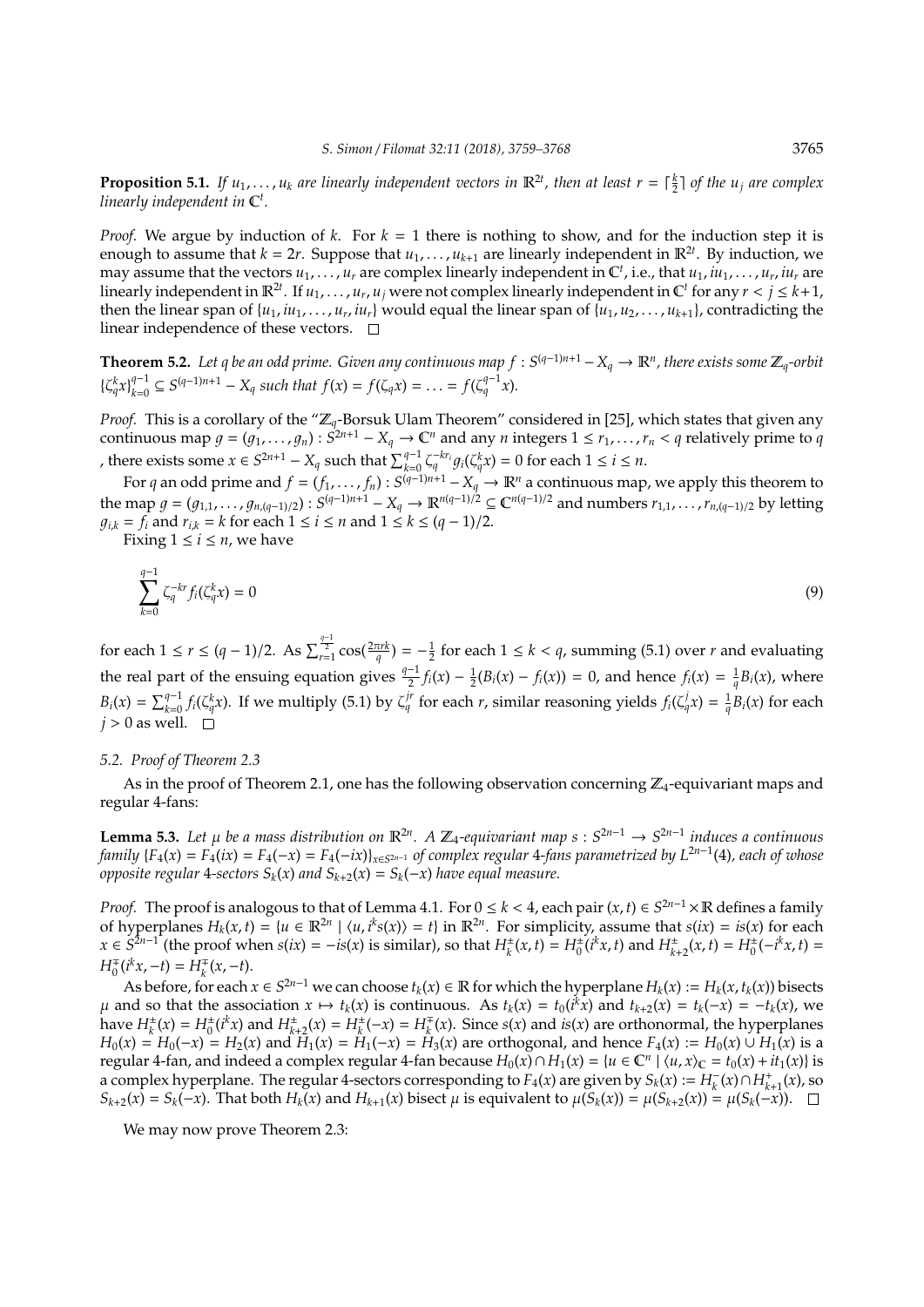**Proposition 5.1.** *If*  $u_1, \ldots, u_k$  are linearly independent vectors in  $\mathbb{R}^{2t}$ , then at least  $r = \lceil \frac{k}{2} \rceil$  of the  $u_j$  are complex *linearly independent in* C *t .*

*Proof.* We argue by induction of *k*. For *k* = 1 there is nothing to show, and for the induction step it is enough to assume that  $k = 2r$ . Suppose that  $u_1, \ldots, u_{k+1}$  are linearly independent in  $\mathbb{R}^{2r}$ . By induction, we may assume that the vectors  $u_1, \ldots, u_r$  are complex linearly independent in  $\mathbb{C}^t$ , i.e., that  $u_1, iu_1, \ldots, u_r, iu_r$  are linearly independent in  $\mathbb{R}^{2t}$ . If  $u_1, \ldots, u_r, u_j$  were not complex linearly independent in  $\mathbb{C}^t$  for any  $r < j \leq k+1$ , then the linear span of  $\{u_1, iu_1, \ldots, u_r, iu_r\}$  would equal the linear span of  $\{u_1, u_2, \ldots, u_{k+1}\}$ , contradicting the linear independence of these vectors.  $\Box$ 

**Theorem 5.2.** Let q be an odd prime. Given any continuous map  $f : S^{(q-1)n+1} - X_q \to \mathbb{R}^n$ , there exists some  $\mathbb{Z}_q$ -orbit  $\left\{\zeta_q^k x\right\}_{k=0}^{q-1}$  $f(x) = f(\zeta_q x) = \ldots = f(\zeta_q^{q-1} x).$ <br> $f(x) = f(\zeta_q x) = \ldots = f(\zeta_q^{q-1} x).$ 

*Proof.* This is a corollary of the "Z*q*-Borsuk Ulam Theorem" considered in [25], which states that given any continuous map  $g = (g_1, \ldots, g_n) : S^{2n+1} - X_q \to \mathbb{C}^n$  and any *n* integers  $1 \le r_1, \ldots, r_n < q$  relatively prime to  $q$ *x*, there exists some  $x \in S^{2n+1} - X_q$  such that  $\sum_{k=0}^{q-1} \zeta_q^{-kr_i} g_i(\zeta_q^k x) = 0$  for each  $1 \le i \le n$ .

For *q* an odd prime and  $f = (f_1, \ldots, f_n) : S^{(q-1)n+1} - X_q \to \mathbb{R}^n$  a continuous map, we apply this theorem to the map  $g = (g_{1,1}, \ldots, g_{n,(q-1)/2})$ :  $S^{(q-1)n+1} - X_q \to \mathbb{R}^{n(q-1)/2} \subseteq \mathbb{C}^{n(q-1)/2}$  and numbers  $r_{1,1}, \ldots, r_{n,(q-1)/2}$  by letting *g*<sub>*i*,*k* = *f*<sub>*i*</sub></sub> and *r*<sub>*i*,*k* = *k* for each 1 ≤ *i* ≤ *n* and 1 ≤ *k* ≤ (*q* − 1)/2.</sub>

Fixing  $1 \le i \le n$ , we have

$$
\sum_{k=0}^{q-1} \zeta_q^{-kr} f_i(\zeta_q^k x) = 0 \tag{9}
$$

for each  $1 \le r \le (q-1)/2$ . As  $\sum_{r=1}^{\frac{q-1}{2}} \cos(\frac{2\pi rk}{q}) = -\frac{1}{2}$  for each  $1 \le k < q$ , summing (5.1) over *r* and evaluating the real part of the ensuing equation gives  $\frac{q-1}{2}f_i(x) - \frac{1}{2}(B_i(x) - f_i(x)) = 0$ , and hence  $f_i(x) = \frac{1}{q}B_i(x)$ , where  $B_i(x) = \sum_{k=0}^{q-1} f_i(\zeta_q^k x)$ . If we multiply (5.1) by  $\zeta_q^{j'}$  for each r, similar reasoning yields  $f_i(\zeta_q^j x) = \frac{1}{q} B_i(x)$  for each  $j > 0$  as well.  $\square$ 

## *5.2. Proof of Theorem 2.3*

As in the proof of Theorem 2.1, one has the following observation concerning  $\mathbb{Z}_4$ -equivariant maps and regular 4-fans:

**Lemma 5.3.** Let  $\mu$  be a mass distribution on  $\mathbb{R}^{2n}$ . A  $\mathbb{Z}_4$ -equivariant map  $s: S^{2n-1} \to S^{2n-1}$  induces a continuous family  $\{F_4(x) = F_4(ix) = F_4(-x) = F_4(-ix)\}_{x \in S^{2n-1}}$  of complex regular 4-fans parametrized by  $L^{2n-1}(4)$ , each of whose *opposite regular* 4*-sectors*  $S_k(x)$  *and*  $S_{k+2}(x) = S_k(-x)$  *have equal measure.* 

*Proof.* The proof is analogous to that of Lemma 4.1. For  $0 \le k < 4$ , each pair  $(x, t) \in S^{2n-1} \times \mathbb{R}$  defines a family of hyperplanes  $H_k(x,t) = \{u \in \mathbb{R}^{2n} \mid \langle u, i^k s(x) \rangle = t\}$  in  $\mathbb{R}^{2n}$ . For simplicity, assume that  $s(ix) = is(x)$  for each  $x \in S^{2n-1}$  (the proof when  $s(ix) = -is(x)$  is similar), so that  $H_k^{\pm}(x, t) = H_0^{\pm}(i^k x, t)$  and  $H_{k+2}^{\pm}(x, t) = H_0^{\pm}(-i^k x, t) =$  $H_0^{\pm}(i^k x, -t) = H_k^{\pm}(x, -t).$ 

As before, for each  $x \in S^{2n-1}$  we can choose  $t_k(x) \in \mathbb{R}$  for which the hyperplane  $H_k(x) := H_k(x, t_k(x))$  bisects  $\mu$  and so that the association  $x \mapsto t_k(x)$  is continuous. As  $t_k(x) = t_0(i^k x)$  and  $t_{k+2}(x) = t_k(-x) = -t_k(x)$ , we have  $H_k^{\pm}(x) = H_0^{\pm}(i^k x)$  and  $H_{k+2}^{\pm}(x) = H_k^{\pm}(-x) = H_k^{\mp}(x)$ . Since  $s(x)$  and  $is(x)$  are orthonormal, the hyperplanes  $H_0(x) = H_0(-x) = H_2(x)$  and  $H_1(x) = H_1(-x) = H_3(x)$  are orthogonal, and hence  $F_4(x) := H_0(x) \cup H_1(x)$  is a regular 4-fan, and indeed a complex regular 4-fan because  $H_0(x) ∩ H_1(x) = {u ∈ \mathbb{C}^n | (u, x)_\mathbb{C} = t_0(x) + it_1(x)}$  is a complex hyperplane. The regular 4-sectors corresponding to  $F_4(x)$  are given by  $S_k(x) := H_k^-(x) \cap H_{k+1}^+(x)$ , so  $S_{k+2}(x) = S_k(-x)$ . That both  $H_k(x)$  and  $H_{k+1}(x)$  bisect  $\mu$  is equivalent to  $\mu(S_k(x)) = \mu(S_{k+2}(x)) = \mu(S_k(-x))$ .

We may now prove Theorem 2.3: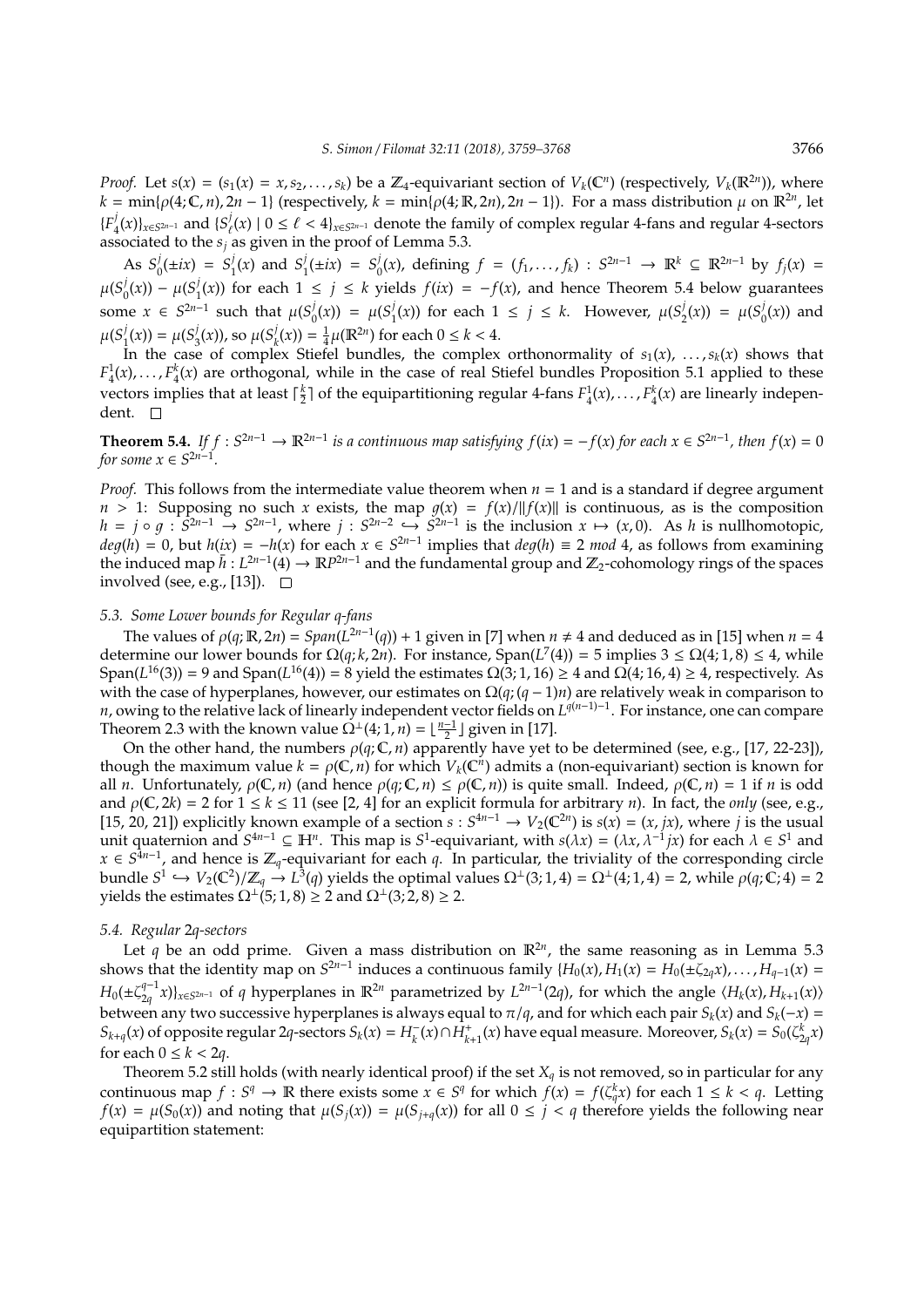*Proof.* Let  $s(x) = (s_1(x) = x, s_2, \ldots, s_k)$  be a  $\mathbb{Z}_4$ -equivariant section of  $V_k(\mathbb{C}^n)$  (respectively,  $V_k(\mathbb{R}^{2n})$ ), where  $k = \min\{\rho(4;\mathbb{C},n), 2n-1\}$  (respectively,  $k = \min\{\rho(4;\mathbb{R},2n), 2n-1\}$ ). For a mass distribution  $\mu$  on  $\mathbb{R}^{2n}$ , let  ${F_4}$  $\binom{j}{4}(x)$ <sub>*x*∈*S*<sup>2*n*−1</sup></sub> and {*S*<sup>*j*</sup><sub>*t*</sub>  $\ell^j$ (*x*) | 0 ≤  $\ell$  < 4}*x*∈*S*<sup>2*n*−1</sup> denote the family of complex regular 4-fans and regular 4-sectors associated to the  $s_j$  as given in the proof of Lemma 5.3.

As  $S^j_c$  $S_0^j(\pm ix) = S_1^j$  $j_1$ (*x*) and  $S_1^j$  $j_1^j(\pm ix) = S_0^j$  $\int_0^j$  *(x)*, defining *f* = (*f*<sub>1</sub>, . . . *, f*<sub>*k*</sub>) : *S*<sup>2*n*−1</sup> → **R**<sup>*k*</sup> ⊆ **R**<sup>2*n*−1</sup> by *f<sub>j</sub>*(*x*) =  $\mu(S^j_c)$  $\mu(S_1^j(x)) - \mu(S_1^j)$  $f_1(x)$ ) for each 1 ≤ *j* ≤ *k* yields  $f(ix) = -f(x)$ , and hence Theorem 5.4 below guarantees some  $x \in S^{2n-1}$  such that  $\mu(S_0^j)$  $\mu(S_1^j(x)) = \mu(S_1^j)$  $j_1(x)$ ) for each  $1 \le j \le k$ . However,  $\mu(S_2^j)$  $\mu(S_0^j(x)) = \mu(S_0^j)$  $\binom{1}{0}(x)$  and  $\mu(S_1^j)$  $j_1^j(x)$ ) =  $\mu(S_3^j)$  $\frac{j}{3}(x)$ ), so  $\mu(S_k^j)$  $h_k^j(x) = \frac{1}{4}\mu(\mathbb{R}^{2n})$  for each  $0 \le k < 4$ .

In the case of complex Stiefel bundles, the complex orthonormality of  $s_1(x)$ , ...,  $s_k(x)$  shows that  $F_4^1(x), \ldots, F_4^k(x)$  are orthogonal, while in the case of real Stiefel bundles Proposition 5.1 applied to these vectors implies that at least  $\lceil \frac{k}{2} \rceil$  of the equipartitioning regular 4-fans  $F_4^1(x), \ldots, F_4^k(x)$  are linearly independent. □

**Theorem 5.4.** *If*  $f: S^{2n-1} \to \mathbb{R}^{2n-1}$  *is a continuous map satisfying*  $f(ix) = -f(x)$  *for each*  $x \in S^{2n-1}$ *, then*  $f(x) = 0$ *for some*  $x \in S^{2n-1}$ *.* 

*Proof.* This follows from the intermediate value theorem when  $n = 1$  and is a standard if degree argument  $n > 1$ : Supposing no such *x* exists, the map  $g(x) = f(x)/||f(x)||$  is continuous, as is the composition  $h = j \circ g : \mathbb{S}^{2n-1} \to \mathbb{S}^{2n-1}$ , where  $j : \mathbb{S}^{2n-2} \hookrightarrow \mathbb{S}^{2n-1}$  is the inclusion  $x \mapsto (x, 0)$ . As *h* is nullhomotopic,  $deg(h) = 0$ , but  $h(ix) = -h(x)$  for each  $x \in S^{2n-1}$  implies that  $deg(h) \equiv 2 \mod 4$ , as follows from examining the induced map  $\bar{h}: L^{2n-1}(4) \to \mathbb{R}P^{2n-1}$  and the fundamental group and  $\mathbb{Z}_2$ -cohomology rings of the spaces involved (see, e.g., [13]).  $\square$ 

# *5.3. Some Lower bounds for Regular q-fans*

The values of  $\rho(q; \mathbb{R}, 2n) = Span(L^{2n-1}(q)) + 1$  given in [7] when  $n \neq 4$  and deduced as in [15] when  $n = 4$ determine our lower bounds for  $\Omega(q, k, 2n)$ . For instance, Span( $L^7(4)$ ) = 5 implies 3  $\leq \Omega(4, 1, 8) \leq 4$ , while  $Span(L^{16}(3)) = 9$  and  $Span(L^{16}(4)) = 8$  yield the estimates  $\Omega(3; 1, 16) \ge 4$  and  $\Omega(4; 16, 4) \ge 4$ , respectively. As with the case of hyperplanes, however, our estimates on Ω(*q*; (*q* − 1)*n*) are relatively weak in comparison to *n*, owing to the relative lack of linearly independent vector fields on *L*<sup>*q*(*n*−1)−1</sup>. For instance, one can compare Theorem 2.3 with the known value  $\Omega^{\perp}(4; 1, n) = \lfloor \frac{n-1}{2} \rfloor$  given in [17].

On the other hand, the numbers  $\rho(q;\mathbb{C},n)$  apparently have yet to be determined (see, e.g., [17, 22-23]), though the maximum value  $k = \rho(C, n)$  for which  $V_k(C^n)$  admits a (non-equivariant) section is known for all *n*. Unfortunately,  $\rho(\mathbb{C}, n)$  (and hence  $\rho(q; \mathbb{C}, n) \leq \rho(\mathbb{C}, n)$ ) is quite small. Indeed,  $\rho(\mathbb{C}, n) = 1$  if *n* is odd and  $\rho(C, 2k) = 2$  for  $1 \le k \le 11$  (see [2, 4] for an explicit formula for arbitrary *n*). In fact, the *only* (see, e.g., [15, 20, 21]) explicitly known example of a section  $s : S^{4n-1} \to V_2(\mathbb{C}^{2n})$  is  $s(x) = (x, jx)$ , where *j* is the usual unit quaternion and  $S^{4n-1} \subseteq \mathbb{H}^n$ . This map is  $S^1$ -equivariant, with  $s(\lambda x) = (\lambda x, \lambda^{-1} jx)$  for each  $\lambda \in S^1$  and *x* ∈  $S^{\frac{1}{4}n-1}$ , and hence is  $\mathbb{Z}_q$ -equivariant for each *q*. In particular, the triviality of the corresponding circle bundle  $S^1 \hookrightarrow V_2(\mathbb{C}^2)/\mathbb{Z}_q \stackrel{\cdot}{\to} L^3(q)$  yields the optimal values  $\Omega^{\perp}(3;1,4) = \Omega^{\perp}(4;1,4) = 2$ , while  $\rho(q;\mathbb{C},4) = 2$ yields the estimates  $\Omega^{\perp}(5;1,8) \geq 2$  and  $\Omega^{\perp}(3;2,8) \geq 2$ .

#### *5.4. Regular* 2*q-sectors*

Let q be an odd prime. Given a mass distribution on  $\mathbb{R}^{2n}$ , the same reasoning as in Lemma 5.3 shows that the identity map on  $S^{2n-1}$  induces a continuous family  $\{H_0(x), H_1(x) = H_0(\pm \zeta_{2q}x), \ldots, H_{q-1}(x) =$  $H_0(\pm \zeta_{2a}^{q-1}x)\}_{x\in S^{2n-1}}$  of q hyperplanes in  $\mathbb{R}^{2n}$  parametrized by  $L^{2n-1}(2q)$ , for which the angle  $\langle H_k(x), H_{k+1}(x) \rangle$  $Z_1(t) = \sum_{q} q^{r}$ ,  $Z_2(t)$ ,  $Z_3(t) = \sum_{r} q^{r}$ ,  $Z_4(t)$ ,  $Z_5(t) = \sum_{r} q^{r}$ ,  $Z_6(t) = \sum_{r} q^{r}$ ,  $Z_7(t) = \sum_{r} q^{r}$ ,  $Z_7(t) = \sum_{r} q^{r}$ ,  $Z_7(t) = \sum_{r} q^{r}$ ,  $Z_7(t) = \sum_{r} q^{r}$ ,  $Z_7(t) = \sum_{r} q^{r}$ ,  $Z_7(t) = \sum_{r} q^{r}$ ,  $Z_7(t) = \sum_{r} q$  $S_{k+q}(x)$  of opposite regular  $2q$ -sectors  $S_k(x) = H_k^-(x) \cap \dot{H}_{k+1}^+(x)$  have equal measure. Moreover,  $S_k(x) = S_0(\zeta_{2q}^k x)$ for each  $0 \le k < 2q$ .

Theorem 5.2 still holds (with nearly identical proof) if the set  $X_q$  is not removed, so in particular for any continuous map  $f : S^q \to \mathbb{R}$  there exists some  $x \in S^q$  for which  $f(x) = f(\zeta_q^k x)$  for each  $1 \leq k < q$ . Letting  $f(x) = \mu(S_0(x))$  and noting that  $\mu(S_i(x)) = \mu(S_{i+a}(x))$  for all  $0 \le i < q$  therefore yields the following near equipartition statement: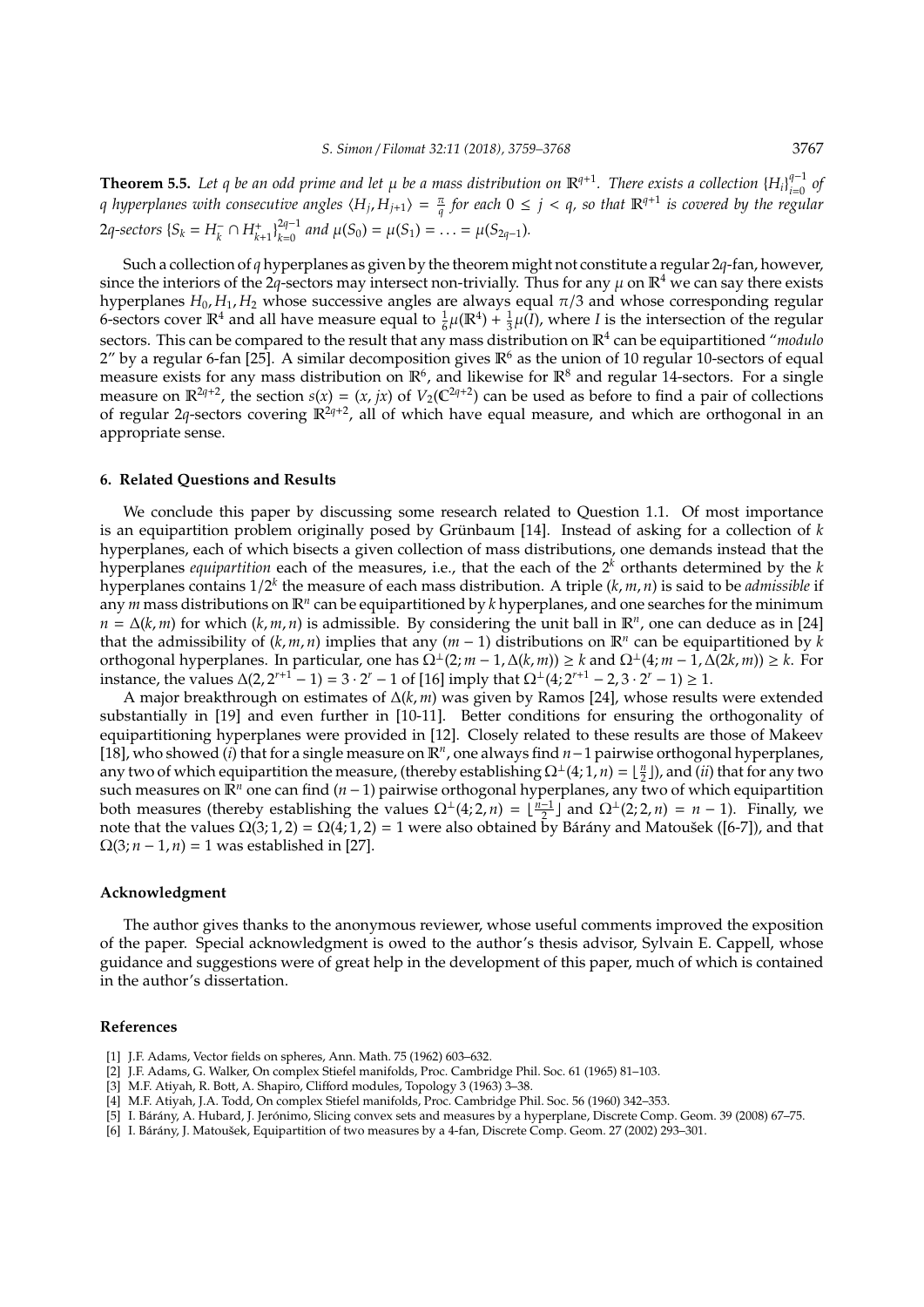**Theorem 5.5.** Let q be an odd prime and let  $\mu$  be a mass distribution on  $\mathbb{R}^{q+1}$ . There exists a collection  $\{H_i\}_{i=0}^{q-1}$  of *i i consecutive angles*  $\langle H_j, H_{j+1} \rangle = \frac{\pi}{q}$  *for each*  $0 \leq j \leq q$ , so that  $\mathbb{R}^{q+1}$  is covered by the regular 2q-sectors  $\{S_k = H_k^- \cap H_{k+1}^+\}_{k=0}^{2q-1}$  $\mu^{2q-1}_{k=0}$  and  $\mu(S_0) = \mu(S_1) = \ldots = \mu(S_{2q-1})$ .

Such a collection of *q* hyperplanes as given by the theorem might not constitute a regular 2*q*-fan, however, since the interiors of the 2*q*-sectors may intersect non-trivially. Thus for any  $\mu$  on  $\mathbb{R}^4$  we can say there exists hyperplanes  $H_0$ ,  $H_1$ ,  $H_2$  whose successive angles are always equal  $\pi/3$  and whose corresponding regular 6-sectors cover  $\mathbb{R}^4$  and all have measure equal to  $\frac{1}{6}\mu(\mathbb{R}^4) + \frac{1}{3}\mu(\hat{l})$ , where *I* is the intersection of the regular sectors. This can be compared to the result that any mass distribution on  $\mathbb{R}^4$  can be equipartitioned "*modulo* 2" by a regular 6-fan [25]. A similar decomposition gives  $\mathbb{R}^6$  as the union of 10 regular 10-sectors of equal measure exists for any mass distribution on  $\mathbb{R}^6$ , and likewise for  $\mathbb{R}^8$  and regular 14-sectors. For a single measure on  $\mathbb{R}^{2q+2}$ , the section  $s(x) = (x, jx)$  of  $V_2(\mathbb{C}^{2q+2})$  can be used as before to find a pair of collections of regular 2q-sectors covering  $\mathbb{R}^{2q+2}$ , all of which have equal measure, and which are orthogonal in an appropriate sense.

## **6. Related Questions and Results**

We conclude this paper by discussing some research related to Question 1.1. Of most importance is an equipartition problem originally posed by Grünbaum [14]. Instead of asking for a collection of k hyperplanes, each of which bisects a given collection of mass distributions, one demands instead that the hyperplanes *equipartition* each of the measures, i.e., that the each of the 2*<sup>k</sup>* orthants determined by the *k* hyperplanes contains 1/2 *k* the measure of each mass distribution. A triple (*k*, *m*, *n*) is said to be *admissible* if any *m* mass distributions on  $\mathbb{R}^n$  can be equipartitioned by *k* hyperplanes, and one searches for the minimum  $n = \Delta(k,m)$  for which  $(k,m,n)$  is admissible. By considering the unit ball in  $\mathbb{R}^n$ , one can deduce as in [24] that the admissibility of  $(k, m, n)$  implies that any  $(m - 1)$  distributions on  $\mathbb{R}^n$  can be equipartitioned by k orthogonal hyperplanes. In particular, one has  $\Omega^{\perp}(2; m-1, \Delta(k,m)) \geq k$  and  $\Omega^{\perp}(4; m-1, \Delta(2k,m)) \geq k$ . For instance, the values  $Δ(2, 2^{r+1} - 1) = 3 \cdot 2^r - 1$  of [16] imply that  $Ω<sup>⊥</sup>(4; 2^{r+1} - 2, 3 \cdot 2^r - 1) ≥ 1$ .

A major breakthrough on estimates of ∆(*k*, *m*) was given by Ramos [24], whose results were extended substantially in [19] and even further in [10-11]. Better conditions for ensuring the orthogonality of equipartitioning hyperplanes were provided in [12]. Closely related to these results are those of Makeev [18], who showed (*i*) that for a single measure on R*<sup>n</sup>* , one always find *n*−1 pairwise orthogonal hyperplanes, any two of which equipartition the measure, (thereby establishing  $\Omega^{\perp}(4;1,n) = \lfloor \frac{n}{2} \rfloor$ ), and (*ii*) that for any two such measures on  $\mathbb{R}^n$  one can find (*n* − 1) pairwise orthogonal hyperplanes, any two of which equipartition both measures (thereby establishing the values  $\Omega^{\perp}(4; 2, n) = \left[\frac{n-1}{2}\right]$  and  $\Omega^{\perp}(2; 2, n) = n - 1$ ). Finally, we note that the values  $\Omega(3; 1, 2) = \Omega(4; 1, 2) = 1$  were also obtained by Bárány and Matoušek ([6-7]), and that  $\Omega(3; n-1, n) = 1$  was established in [27].

#### **Acknowledgment**

The author gives thanks to the anonymous reviewer, whose useful comments improved the exposition of the paper. Special acknowledgment is owed to the author's thesis advisor, Sylvain E. Cappell, whose guidance and suggestions were of great help in the development of this paper, much of which is contained in the author's dissertation.

#### **References**

- [1] J.F. Adams, Vector fields on spheres, Ann. Math. 75 (1962) 603–632.
- [2] J.F. Adams, G. Walker, On complex Stiefel manifolds, Proc. Cambridge Phil. Soc. 61 (1965) 81–103.
- [3] M.F. Atiyah, R. Bott, A. Shapiro, Clifford modules, Topology 3 (1963) 3–38.
- [4] M.F. Atiyah, J.A. Todd, On complex Stiefel manifolds, Proc. Cambridge Phil. Soc. 56 (1960) 342–353.
- [5] I. Bárány, A. Hubard, J. Jerónimo, Slicing convex sets and measures by a hyperplane, Discrete Comp. Geom. 39 (2008) 67-75.
- [6] I. Bárány, J. Matoušek, Equipartition of two measures by a 4-fan, Discrete Comp. Geom. 27 (2002) 293–301.